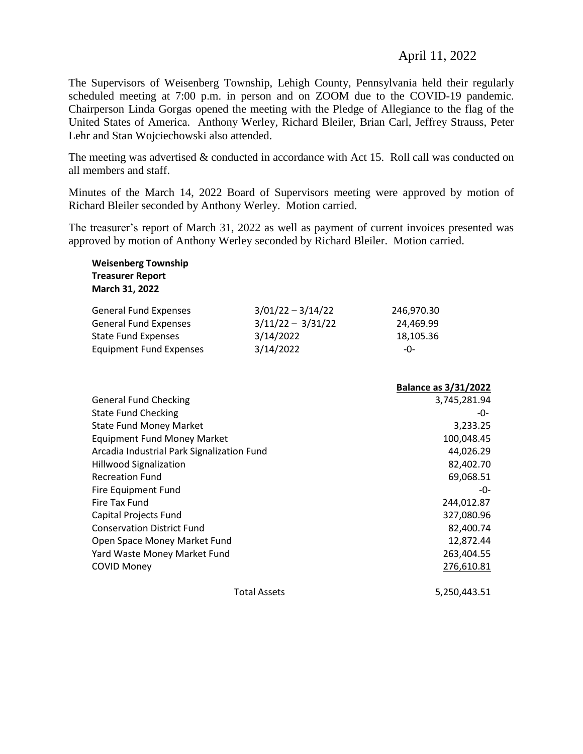## April 11, 2022

The Supervisors of Weisenberg Township, Lehigh County, Pennsylvania held their regularly scheduled meeting at 7:00 p.m. in person and on ZOOM due to the COVID-19 pandemic. Chairperson Linda Gorgas opened the meeting with the Pledge of Allegiance to the flag of the United States of America. Anthony Werley, Richard Bleiler, Brian Carl, Jeffrey Strauss, Peter Lehr and Stan Wojciechowski also attended.

The meeting was advertised & conducted in accordance with Act 15. Roll call was conducted on all members and staff.

Minutes of the March 14, 2022 Board of Supervisors meeting were approved by motion of Richard Bleiler seconded by Anthony Werley. Motion carried.

The treasurer's report of March 31, 2022 as well as payment of current invoices presented was approved by motion of Anthony Werley seconded by Richard Bleiler. Motion carried.

| <b>Weisenberg Township</b><br><b>Treasurer Report</b><br>March 31, 2022 |                                            |                             |
|-------------------------------------------------------------------------|--------------------------------------------|-----------------------------|
| <b>General Fund Expenses</b><br><b>General Fund Expenses</b>            | $3/01/22 - 3/14/22$<br>$3/11/22 - 3/31/22$ | 246,970.30<br>24,469.99     |
| <b>State Fund Expenses</b>                                              | 3/14/2022                                  | 18,105.36                   |
| <b>Equipment Fund Expenses</b>                                          | 3/14/2022                                  | $-0-$                       |
|                                                                         |                                            |                             |
|                                                                         |                                            | <b>Balance as 3/31/2022</b> |
| <b>General Fund Checking</b>                                            |                                            | 3,745,281.94                |
| <b>State Fund Checking</b>                                              |                                            | -0-                         |
| <b>State Fund Money Market</b>                                          | 3,233.25                                   |                             |
| <b>Equipment Fund Money Market</b>                                      | 100,048.45                                 |                             |
| Arcadia Industrial Park Signalization Fund                              |                                            | 44,026.29                   |
| <b>Hillwood Signalization</b>                                           |                                            | 82,402.70                   |
| <b>Recreation Fund</b>                                                  |                                            | 69,068.51                   |
| Fire Equipment Fund                                                     |                                            | -0-                         |
| Fire Tax Fund                                                           |                                            | 244,012.87                  |
| Capital Projects Fund                                                   |                                            | 327,080.96                  |
| <b>Conservation District Fund</b>                                       |                                            | 82,400.74                   |
| Open Space Money Market Fund                                            |                                            | 12,872.44                   |
| Yard Waste Money Market Fund                                            |                                            | 263,404.55                  |
| <b>COVID Money</b>                                                      |                                            | 276,610.81                  |
|                                                                         | 5,250,443.51                               |                             |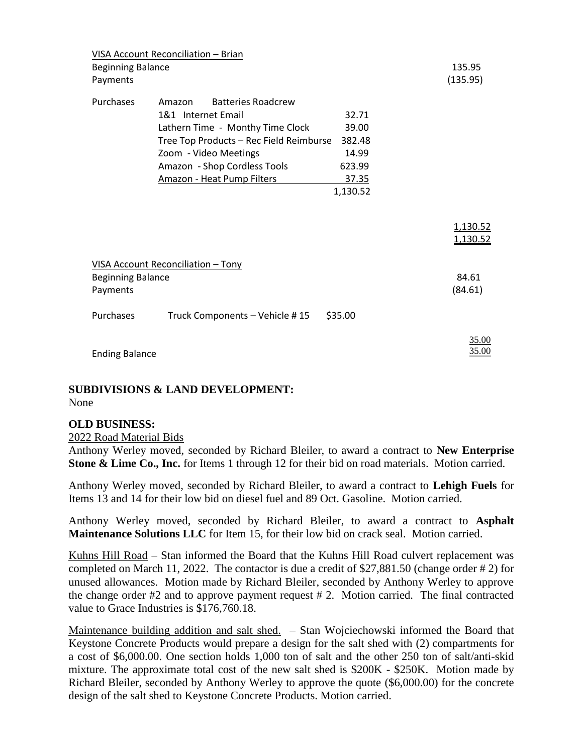| <b>Beginning Balance</b><br>Payments | VISA Account Reconciliation - Brian                                                                                                                                                                                             |                                                                  | 135.95<br>(135.95)   |
|--------------------------------------|---------------------------------------------------------------------------------------------------------------------------------------------------------------------------------------------------------------------------------|------------------------------------------------------------------|----------------------|
| Purchases                            | <b>Batteries Roadcrew</b><br>Amazon<br>1&1 Internet Email<br>Lathern Time - Monthy Time Clock<br>Tree Top Products - Rec Field Reimburse<br>Zoom - Video Meetings<br>Amazon - Shop Cordless Tools<br>Amazon - Heat Pump Filters | 32.71<br>39.00<br>382.48<br>14.99<br>623.99<br>37.35<br>1,130.52 |                      |
|                                      |                                                                                                                                                                                                                                 |                                                                  | 1,130.52<br>1,130.52 |
| <b>Beginning Balance</b><br>Payments | VISA Account Reconciliation - Tony                                                                                                                                                                                              |                                                                  | 84.61<br>(84.61)     |
| Purchases                            | Truck Components - Vehicle #15                                                                                                                                                                                                  | \$35.00                                                          |                      |
| <b>Ending Balance</b>                |                                                                                                                                                                                                                                 |                                                                  | 35.00<br>35.00       |

#### **SUBDIVISIONS & LAND DEVELOPMENT:** None

### **OLD BUSINESS:**

#### 2022 Road Material Bids

Anthony Werley moved, seconded by Richard Bleiler, to award a contract to **New Enterprise Stone & Lime Co., Inc.** for Items 1 through 12 for their bid on road materials. Motion carried.

Anthony Werley moved, seconded by Richard Bleiler, to award a contract to **Lehigh Fuels** for Items 13 and 14 for their low bid on diesel fuel and 89 Oct. Gasoline. Motion carried.

Anthony Werley moved, seconded by Richard Bleiler, to award a contract to **Asphalt Maintenance Solutions LLC** for Item 15, for their low bid on crack seal. Motion carried.

Kuhns Hill Road – Stan informed the Board that the Kuhns Hill Road culvert replacement was completed on March 11, 2022. The contactor is due a credit of \$27,881.50 (change order # 2) for unused allowances. Motion made by Richard Bleiler, seconded by Anthony Werley to approve the change order #2 and to approve payment request # 2. Motion carried. The final contracted value to Grace Industries is \$176,760.18.

Maintenance building addition and salt shed. – Stan Wojciechowski informed the Board that Keystone Concrete Products would prepare a design for the salt shed with (2) compartments for a cost of \$6,000.00. One section holds 1,000 ton of salt and the other 250 ton of salt/anti-skid mixture. The approximate total cost of the new salt shed is \$200K - \$250K. Motion made by Richard Bleiler, seconded by Anthony Werley to approve the quote (\$6,000.00) for the concrete design of the salt shed to Keystone Concrete Products. Motion carried.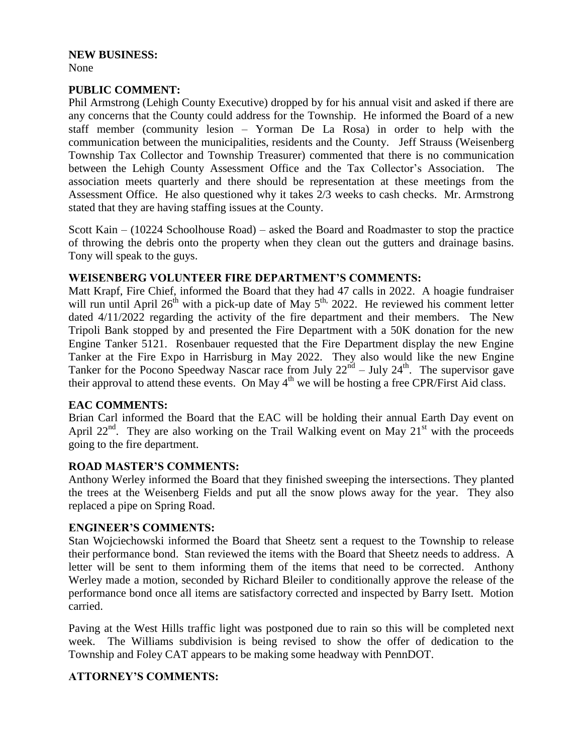# **NEW BUSINESS:**

## None

## **PUBLIC COMMENT:**

Phil Armstrong (Lehigh County Executive) dropped by for his annual visit and asked if there are any concerns that the County could address for the Township. He informed the Board of a new staff member (community lesion – Yorman De La Rosa) in order to help with the communication between the municipalities, residents and the County. Jeff Strauss (Weisenberg Township Tax Collector and Township Treasurer) commented that there is no communication between the Lehigh County Assessment Office and the Tax Collector's Association. The association meets quarterly and there should be representation at these meetings from the Assessment Office. He also questioned why it takes 2/3 weeks to cash checks. Mr. Armstrong stated that they are having staffing issues at the County.

Scott Kain – (10224 Schoolhouse Road) – asked the Board and Roadmaster to stop the practice of throwing the debris onto the property when they clean out the gutters and drainage basins. Tony will speak to the guys.

## **WEISENBERG VOLUNTEER FIRE DEPARTMENT'S COMMENTS:**

Matt Krapf, Fire Chief, informed the Board that they had 47 calls in 2022. A hoagie fundraiser will run until April  $26^{th}$  with a pick-up date of May  $5^{th}$ , 2022. He reviewed his comment letter dated 4/11/2022 regarding the activity of the fire department and their members. The New Tripoli Bank stopped by and presented the Fire Department with a 50K donation for the new Engine Tanker 5121. Rosenbauer requested that the Fire Department display the new Engine Tanker at the Fire Expo in Harrisburg in May 2022. They also would like the new Engine Tanker for the Pocono Speedway Nascar race from July  $22^{nd}$  – July  $24^{th}$ . The supervisor gave their approval to attend these events. On May  $4<sup>th</sup>$  we will be hosting a free CPR/First Aid class.

### **EAC COMMENTS:**

Brian Carl informed the Board that the EAC will be holding their annual Earth Day event on April 22<sup>nd</sup>. They are also working on the Trail Walking event on May 21<sup>st</sup> with the proceeds going to the fire department.

## **ROAD MASTER'S COMMENTS:**

Anthony Werley informed the Board that they finished sweeping the intersections. They planted the trees at the Weisenberg Fields and put all the snow plows away for the year. They also replaced a pipe on Spring Road.

### **ENGINEER'S COMMENTS:**

Stan Wojciechowski informed the Board that Sheetz sent a request to the Township to release their performance bond. Stan reviewed the items with the Board that Sheetz needs to address. A letter will be sent to them informing them of the items that need to be corrected. Anthony Werley made a motion, seconded by Richard Bleiler to conditionally approve the release of the performance bond once all items are satisfactory corrected and inspected by Barry Isett. Motion carried.

Paving at the West Hills traffic light was postponed due to rain so this will be completed next week. The Williams subdivision is being revised to show the offer of dedication to the Township and Foley CAT appears to be making some headway with PennDOT.

## **ATTORNEY'S COMMENTS:**